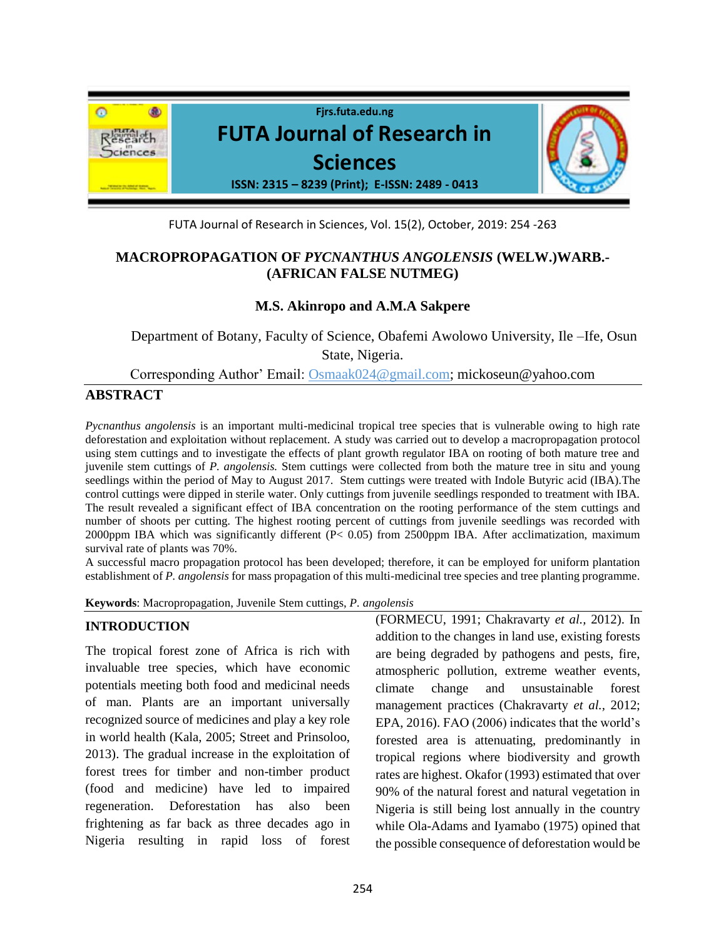

FUTA Journal of Research in Sciences, Vol. 15(2), October, 2019: 254 -263

# **MACROPROPAGATION OF** *PYCNANTHUS ANGOLENSIS* **(WELW.)WARB.- (AFRICAN FALSE NUTMEG)**

### **M.S. Akinropo and A.M.A Sakpere**

Department of Botany, Faculty of Science, Obafemi Awolowo University, Ile –Ife, Osun State, Nigeria.

Corresponding Author' Email: [Osmaak024@gmail.com;](about:blank) mickoseun@yahoo.com

## **ABSTRACT**

*Pycnanthus angolensis* is an important multi-medicinal tropical tree species that is vulnerable owing to high rate deforestation and exploitation without replacement. A study was carried out to develop a macropropagation protocol using stem cuttings and to investigate the effects of plant growth regulator IBA on rooting of both mature tree and juvenile stem cuttings of *P. angolensis.* Stem cuttings were collected from both the mature tree in situ and young seedlings within the period of May to August 2017. Stem cuttings were treated with Indole Butyric acid (IBA).The control cuttings were dipped in sterile water. Only cuttings from juvenile seedlings responded to treatment with IBA. The result revealed a significant effect of IBA concentration on the rooting performance of the stem cuttings and number of shoots per cutting. The highest rooting percent of cuttings from juvenile seedlings was recorded with 2000ppm IBA which was significantly different (P< 0.05) from 2500ppm IBA. After acclimatization, maximum survival rate of plants was 70%.

A successful macro propagation protocol has been developed; therefore, it can be employed for uniform plantation establishment of *P. angolensis* for mass propagation of this multi-medicinal tree species and tree planting programme.

**Keywords**: Macropropagation, Juvenile Stem cuttings, *P. angolensis*

### **INTRODUCTION**

The tropical forest zone of Africa is rich with invaluable tree species, which have economic potentials meeting both food and medicinal needs of man. Plants are an important universally recognized source of medicines and play a key role in world health (Kala, 2005; Street and Prinsoloo, 2013). The gradual increase in the exploitation of forest trees for timber and non-timber product (food and medicine) have led to impaired regeneration. Deforestation has also been frightening as far back as three decades ago in Nigeria resulting in rapid loss of forest (FORMECU, 1991; Chakravarty *et al.,* 2012). In addition to the changes in land use, existing forests are being degraded by pathogens and pests, fire, atmospheric pollution, extreme weather events, climate change and unsustainable forest management practices (Chakravarty *et al.,* 2012; EPA, 2016). FAO (2006) indicates that the world's forested area is attenuating, predominantly in tropical regions where biodiversity and growth rates are highest. Okafor (1993) estimated that over 90% of the natural forest and natural vegetation in Nigeria is still being lost annually in the country while Ola-Adams and Iyamabo (1975) opined that the possible consequence of deforestation would be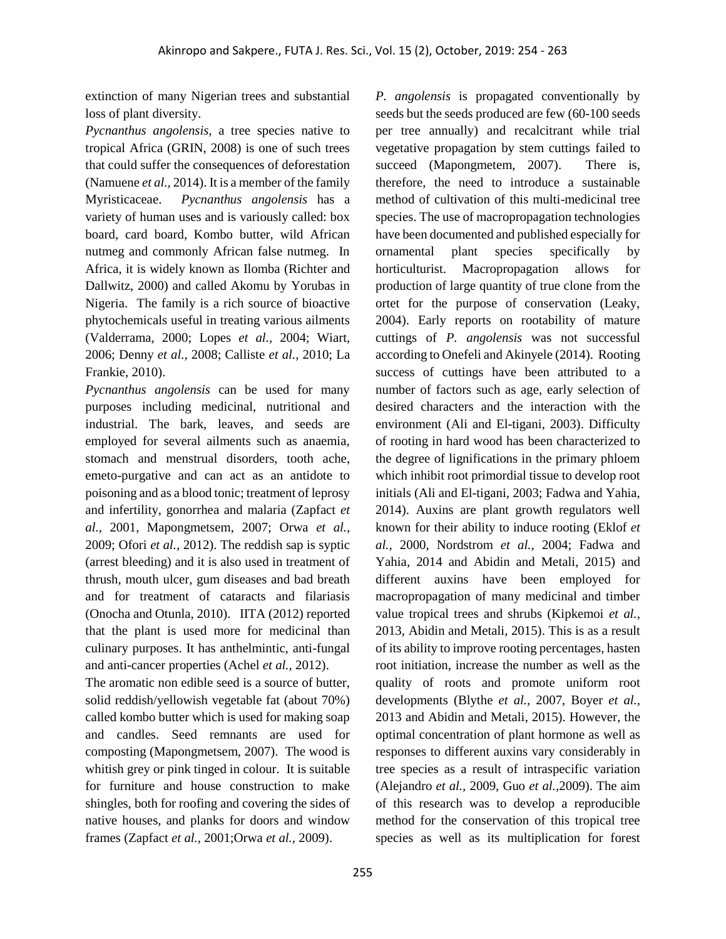extinction of many Nigerian trees and substantial loss of plant diversity.

*Pycnanthus angolensis*, a tree species native to tropical Africa (GRIN, 2008) is one of such trees that could suffer the consequences of deforestation (Namuene *et al.,* 2014). It is a member of the family Myristicaceae. *Pycnanthus angolensis* has a variety of human uses and is variously called: box board, card board, Kombo butter, wild African nutmeg and commonly African false nutmeg. In Africa, it is widely known as Ilomba (Richter and Dallwitz, 2000) and called Akomu by Yorubas in Nigeria. The family is a rich source of bioactive phytochemicals useful in treating various ailments (Valderrama, 2000; Lopes *et al.,* 2004; Wiart, 2006; Denny *et al.,* 2008; Calliste *et al.,* 2010; La Frankie, 2010).

*Pycnanthus angolensis* can be used for many purposes including medicinal, nutritional and industrial. The bark, leaves, and seeds are employed for several ailments such as anaemia, stomach and menstrual disorders, tooth ache, emeto-purgative and can act as an antidote to poisoning and as a blood tonic; treatment of leprosy and infertility, gonorrhea and malaria (Zapfact *et al.,* 2001*,* Mapongmetsem, 2007; Orwa *et al.,*  2009; Ofori *et al.,* 2012). The reddish sap is syptic (arrest bleeding) and it is also used in treatment of thrush, mouth ulcer, gum diseases and bad breath and for treatment of cataracts and filariasis (Onocha and Otunla, 2010). IITA (2012) reported that the plant is used more for medicinal than culinary purposes. It has anthelmintic, anti-fungal and anti-cancer properties (Achel *et al.,* 2012).

The aromatic non edible seed is a source of butter, solid reddish/yellowish vegetable fat (about 70%) called kombo butter which is used for making soap and candles. Seed remnants are used for composting (Mapongmetsem, 2007). The wood is whitish grey or pink tinged in colour. It is suitable for furniture and house construction to make shingles, both for roofing and covering the sides of native houses, and planks for doors and window frames (Zapfact *et al.,* 2001;Orwa *et al.,* 2009).

*P. angolensis* is propagated conventionally by seeds but the seeds produced are few (60-100 seeds per tree annually) and recalcitrant while trial vegetative propagation by stem cuttings failed to succeed (Mapongmetem, 2007). There is, therefore, the need to introduce a sustainable method of cultivation of this multi-medicinal tree species. The use of macropropagation technologies have been documented and published especially for ornamental plant species specifically by horticulturist. Macropropagation allows for production of large quantity of true clone from the ortet for the purpose of conservation (Leaky, 2004). Early reports on rootability of mature cuttings of *P. angolensis* was not successful according to Onefeli and Akinyele (2014). Rooting success of cuttings have been attributed to a number of factors such as age, early selection of desired characters and the interaction with the environment (Ali and El-tigani, 2003). Difficulty of rooting in hard wood has been characterized to the degree of lignifications in the primary phloem which inhibit root primordial tissue to develop root initials (Ali and El-tigani, 2003; Fadwa and Yahia, 2014). Auxins are plant growth regulators well known for their ability to induce rooting (Eklof *et al.,* 2000, Nordstrom *et al.,* 2004; Fadwa and Yahia, 2014 and Abidin and Metali, 2015) and different auxins have been employed for macropropagation of many medicinal and timber value tropical trees and shrubs (Kipkemoi *et al.,* 2013, Abidin and Metali, 2015). This is as a result of its ability to improve rooting percentages, hasten root initiation, increase the number as well as the quality of roots and promote uniform root developments (Blythe *et al.,* 2007, Boyer *et al.,* 2013 and Abidin and Metali, 2015). However, the optimal concentration of plant hormone as well as responses to different auxins vary considerably in tree species as a result of intraspecific variation (Alejandro *et al.,* 2009, Guo *et al.,*2009). The aim of this research was to develop a reproducible method for the conservation of this tropical tree species as well as its multiplication for forest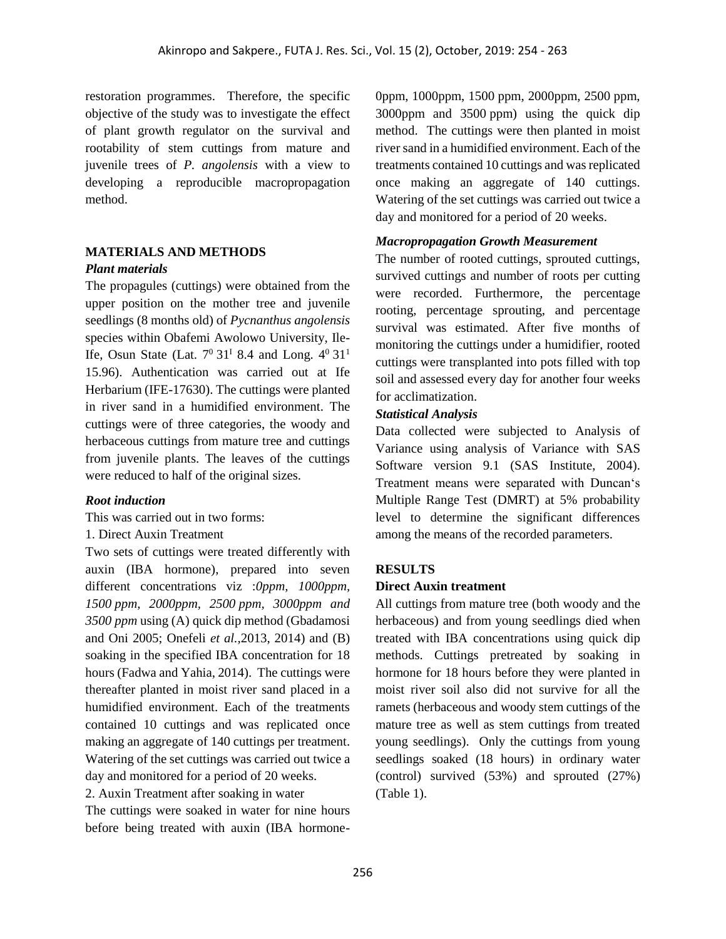restoration programmes. Therefore, the specific objective of the study was to investigate the effect of plant growth regulator on the survival and rootability of stem cuttings from mature and juvenile trees of *P. angolensis* with a view to developing a reproducible macropropagation method.

# **MATERIALS AND METHODS**

#### *Plant materials*

The propagules (cuttings) were obtained from the upper position on the mother tree and juvenile seedlings (8 months old) of *Pycnanthus angolensis* species within Obafemi Awolowo University, Ile-Ife, Osun State (Lat.  $7^0$  31<sup>1</sup> 8.4 and Long.  $4^0$  31<sup>1</sup> 15.96). Authentication was carried out at Ife Herbarium (IFE-17630). The cuttings were planted in river sand in a humidified environment. The cuttings were of three categories, the woody and herbaceous cuttings from mature tree and cuttings from juvenile plants. The leaves of the cuttings were reduced to half of the original sizes.

### *Root induction*

This was carried out in two forms:

### 1. Direct Auxin Treatment

Two sets of cuttings were treated differently with auxin (IBA hormone), prepared into seven different concentrations viz :*0ppm, 1000ppm, 1500 ppm, 2000ppm, 2500 ppm, 3000ppm and 3500 ppm* using (A) quick dip method (Gbadamosi and Oni 2005; Onefeli *et al.,*2013, 2014) and (B) soaking in the specified IBA concentration for 18 hours (Fadwa and Yahia, 2014). The cuttings were thereafter planted in moist river sand placed in a humidified environment. Each of the treatments contained 10 cuttings and was replicated once making an aggregate of 140 cuttings per treatment. Watering of the set cuttings was carried out twice a day and monitored for a period of 20 weeks.

2. Auxin Treatment after soaking in water

The cuttings were soaked in water for nine hours before being treated with auxin (IBA hormone0ppm, 1000ppm, 1500 ppm, 2000ppm, 2500 ppm, 3000ppm and 3500 ppm) using the quick dip method. The cuttings were then planted in moist river sand in a humidified environment. Each of the treatments contained 10 cuttings and was replicated once making an aggregate of 140 cuttings. Watering of the set cuttings was carried out twice a day and monitored for a period of 20 weeks.

### *Macropropagation Growth Measurement*

The number of rooted cuttings, sprouted cuttings, survived cuttings and number of roots per cutting were recorded. Furthermore, the percentage rooting, percentage sprouting, and percentage survival was estimated. After five months of monitoring the cuttings under a humidifier, rooted cuttings were transplanted into pots filled with top soil and assessed every day for another four weeks for acclimatization.

#### *Statistical Analysis*

Data collected were subjected to Analysis of Variance using analysis of Variance with SAS Software version 9.1 (SAS Institute, 2004). Treatment means were separated with Duncan's Multiple Range Test (DMRT) at 5% probability level to determine the significant differences among the means of the recorded parameters.

### **RESULTS**

### **Direct Auxin treatment**

All cuttings from mature tree (both woody and the herbaceous) and from young seedlings died when treated with IBA concentrations using quick dip methods. Cuttings pretreated by soaking in hormone for 18 hours before they were planted in moist river soil also did not survive for all the ramets (herbaceous and woody stem cuttings of the mature tree as well as stem cuttings from treated young seedlings). Only the cuttings from young seedlings soaked (18 hours) in ordinary water (control) survived (53%) and sprouted (27%) (Table 1).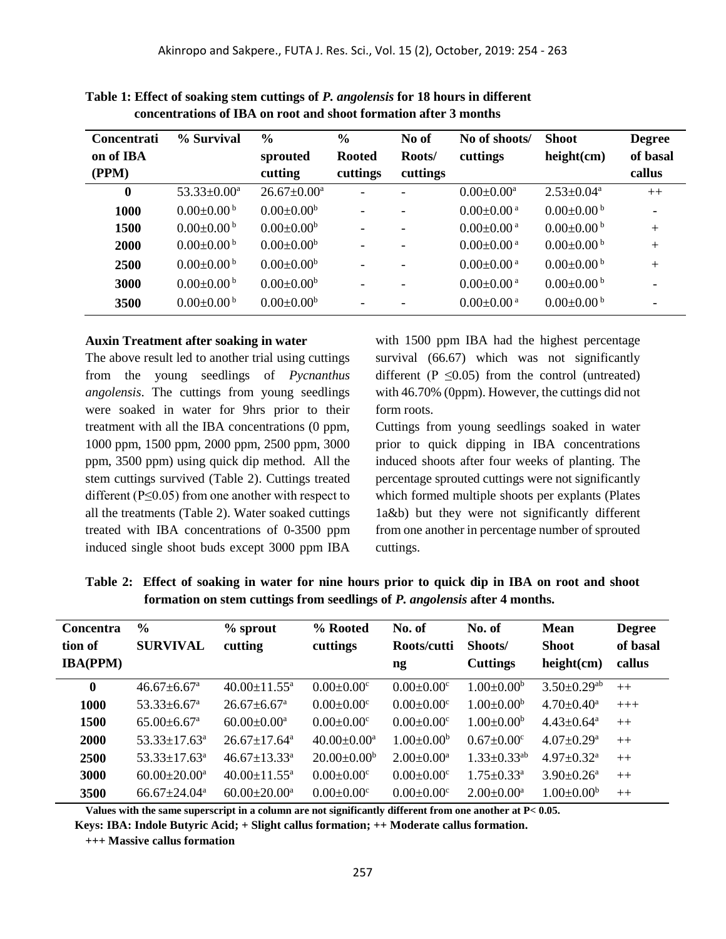| <b>Concentrati</b> | % Survival                   | $\frac{6}{9}$       | $\frac{0}{0}$             | No of              | No of shoots/                | <b>Shoot</b>                 | <b>Degree</b>      |
|--------------------|------------------------------|---------------------|---------------------------|--------------------|------------------------------|------------------------------|--------------------|
| on of IBA<br>(PPM) |                              | sprouted<br>cutting | <b>Rooted</b><br>cuttings | Roots/<br>cuttings | cuttings                     | height(cm)                   | of basal<br>callus |
| $\bf{0}$           | $53.33 \pm 0.00^a$           | $26.67 \pm 0.00^a$  |                           |                    | $0.00 \pm 0.00^a$            | $2.53 \pm 0.04^a$            | $++$               |
| 1000               | $0.00 \pm 0.00^{\mathrm{b}}$ | $0.00 \pm 0.00^b$   | $\overline{\phantom{a}}$  |                    | $0.00 \pm 0.00$ <sup>a</sup> | $0.00 \pm 0.00$ b            |                    |
| 1500               | $0.00 \pm 0.00^{\mathrm{b}}$ | $0.00 \pm 0.00^b$   | $\overline{\phantom{a}}$  |                    | $0.00 \pm 0.00$ <sup>a</sup> | $0.00 \pm 0.00^{\mathrm{b}}$ | $+$                |
| 2000               | $0.00 \pm 0.00^{\mathrm{b}}$ | $0.00 \pm 0.00^b$   | $\overline{\phantom{a}}$  |                    | $0.00 \pm 0.00$ <sup>a</sup> | $0.00 \pm 0.00^{\mathrm{b}}$ | $+$                |
| 2500               | $0.00 \pm 0.00^{\mathrm{b}}$ | $0.00 \pm 0.00^b$   | $\overline{\phantom{a}}$  |                    | $0.00 \pm 0.00$ <sup>a</sup> | $0.00 \pm 0.00^{\mathrm{b}}$ | $^{+}$             |
| 3000               | $0.00 \pm 0.00^{\mathrm{b}}$ | $0.00 \pm 0.00^b$   | $\overline{\phantom{a}}$  | $\qquad \qquad -$  | $0.00 \pm 0.00$ <sup>a</sup> | $0.00 \pm 0.00^{\mathrm{b}}$ |                    |
| 3500               | $0.00 \pm 0.00^{\mathrm{b}}$ | $0.00 \pm 0.00^b$   |                           |                    | $0.00 \pm 0.00$ <sup>a</sup> | $0.00 \pm 0.00^{\mathrm{b}}$ |                    |

**Table 1: Effect of soaking stem cuttings of** *P. angolensis* **for 18 hours in different concentrations of IBA on root and shoot formation after 3 months**

#### **Auxin Treatment after soaking in water**

The above result led to another trial using cuttings from the young seedlings of *Pycnanthus angolensis*. The cuttings from young seedlings were soaked in water for 9hrs prior to their treatment with all the IBA concentrations (0 ppm, 1000 ppm, 1500 ppm, 2000 ppm, 2500 ppm, 3000 ppm, 3500 ppm) using quick dip method. All the stem cuttings survived (Table 2). Cuttings treated different ( $P \le 0.05$ ) from one another with respect to all the treatments (Table 2). Water soaked cuttings treated with IBA concentrations of 0-3500 ppm induced single shoot buds except 3000 ppm IBA

with 1500 ppm IBA had the highest percentage survival (66.67) which was not significantly different ( $P \le 0.05$ ) from the control (untreated) with 46.70% (0ppm). However, the cuttings did not form roots.

Cuttings from young seedlings soaked in water prior to quick dipping in IBA concentrations induced shoots after four weeks of planting. The percentage sprouted cuttings were not significantly which formed multiple shoots per explants (Plates 1a&b) but they were not significantly different from one another in percentage number of sprouted cuttings.

| <b>Concentra</b><br>tion of<br><b>IBA(PPM)</b> | $\frac{0}{0}$<br><b>SURVIVAL</b> | $%$ sprout<br>cutting          | % Rooted<br>cuttings         | No. of<br>Roots/cutti<br>$\mathbf{n}\mathbf{g}$ | No. of<br>Shoots/<br><b>Cuttings</b> | <b>Mean</b><br><b>Shoot</b><br>height(cm) | <b>Degree</b><br>of basal<br>callus |
|------------------------------------------------|----------------------------------|--------------------------------|------------------------------|-------------------------------------------------|--------------------------------------|-------------------------------------------|-------------------------------------|
| $\bf{0}$                                       | $46.67 \pm 6.67^{\circ}$         | $40.00 \pm 11.55^{\text{a}}$   | $0.00 \pm 0.00$ <sup>c</sup> | $0.00 \pm 0.00$ <sup>c</sup>                    | $1.00 \pm 0.00^b$                    | $3.50 \pm 0.29$ <sup>ab</sup>             | $++$                                |
| <b>1000</b>                                    | $53.33 + 6.67$ <sup>a</sup>      | $26.67 + 6.67$ <sup>a</sup>    | $0.00 \pm 0.00$ <sup>c</sup> | $0.00 \pm 0.00$ <sup>c</sup>                    | $1.00 \pm 0.00^b$                    | $4.70 \pm 0.40^{\text{a}}$                | $+++$                               |
| 1500                                           | $65.00 \pm 6.67$ <sup>a</sup>    | $60.00 \pm 0.00^a$             | $0.00 \pm 0.00$ <sup>c</sup> | $0.00 \pm 0.00$ <sup>c</sup>                    | $1.00 \pm 0.00^b$                    | $4.43 \pm 0.64$ <sup>a</sup>              | $++$                                |
| <b>2000</b>                                    | $53.33 \pm 17.63^{\circ}$        | $26.67+17.64^a$                | $40.00 \pm 0.00^a$           | $1.00 \pm 0.00^b$                               | $0.67 \pm 0.00$ <sup>c</sup>         | $4.07 \pm 0.29$ <sup>a</sup>              | $++$                                |
| <b>2500</b>                                    | $53.33 \pm 17.63^{\circ}$        | $46.67 \pm 13.33$ <sup>a</sup> | $20.00 \pm 0.00^{\circ}$     | $2.00 \pm 0.00^a$                               | $1.33 \pm 0.33$ <sup>ab</sup>        | $4.97 \pm 0.32$ <sup>a</sup>              | $++$                                |
| 3000                                           | $60.00 \pm 20.00^{\text{a}}$     | $40.00 \pm 11.55^{\text{a}}$   | $0.00 \pm 0.00$ <sup>c</sup> | $0.00 \pm 0.00$ <sup>c</sup>                    | $1.75 \pm 0.33$ <sup>a</sup>         | $3.90 \pm 0.26$ <sup>a</sup>              | $++$                                |
| 3500                                           | $66.67 + 24.04^a$                | $60.00+20.00a$                 | $0.00+0.00^{\circ}$          | $0.00 \pm 0.00^{\circ}$                         | $2.00 \pm 0.00^a$                    | $1.00 \pm 0.00^b$                         | $++$                                |

**Table 2: Effect of soaking in water for nine hours prior to quick dip in IBA on root and shoot formation on stem cuttings from seedlings of** *P. angolensis* **after 4 months.**

 **Values with the same superscript in a column are not significantly different from one another at P< 0.05.**

**Keys: IBA: Indole Butyric Acid; + Slight callus formation; ++ Moderate callus formation.** 

**+++ Massive callus formation**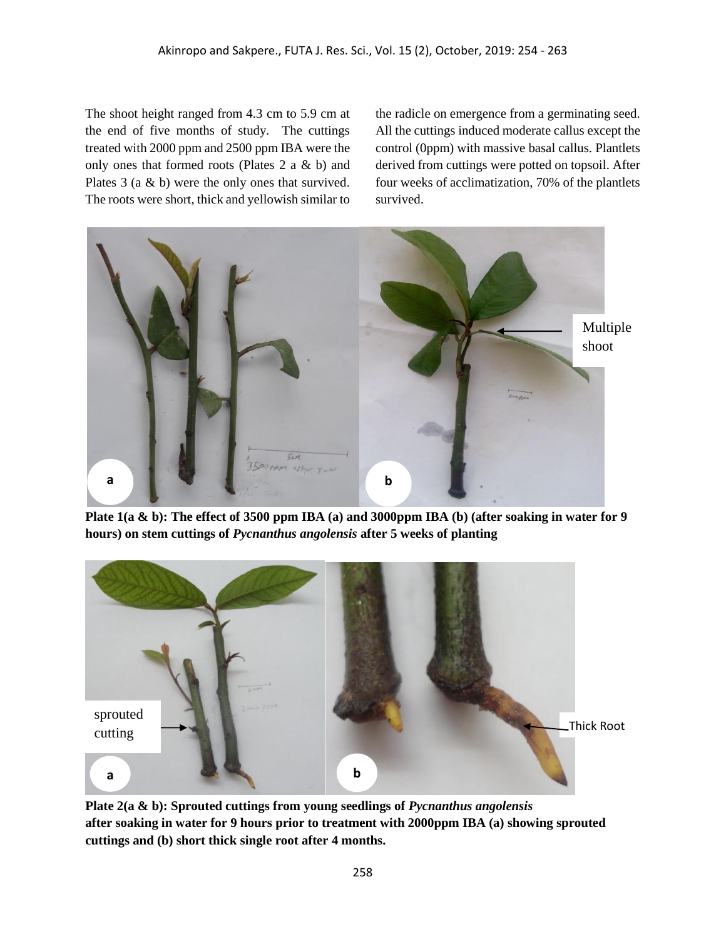The shoot height ranged from 4.3 cm to 5.9 cm at the end of five months of study. The cuttings treated with 2000 ppm and 2500 ppm IBA were the only ones that formed roots (Plates 2 a & b) and Plates 3 (a & b) were the only ones that survived. The roots were short, thick and yellowish similar to the radicle on emergence from a germinating seed. All the cuttings induced moderate callus except the control (0ppm) with massive basal callus. Plantlets derived from cuttings were potted on topsoil. After four weeks of acclimatization, 70% of the plantlets survived.



**Plate 1(a & b): The effect of 3500 ppm IBA (a) and 3000ppm IBA (b) (after soaking in water for 9 hours) on stem cuttings of** *Pycnanthus angolensis* **after 5 weeks of planting**



**Plate 2(a & b): Sprouted cuttings from young seedlings of** *Pycnanthus angolensis* **after soaking in water for 9 hours prior to treatment with 2000ppm IBA (a) showing sprouted cuttings and (b) short thick single root after 4 months.**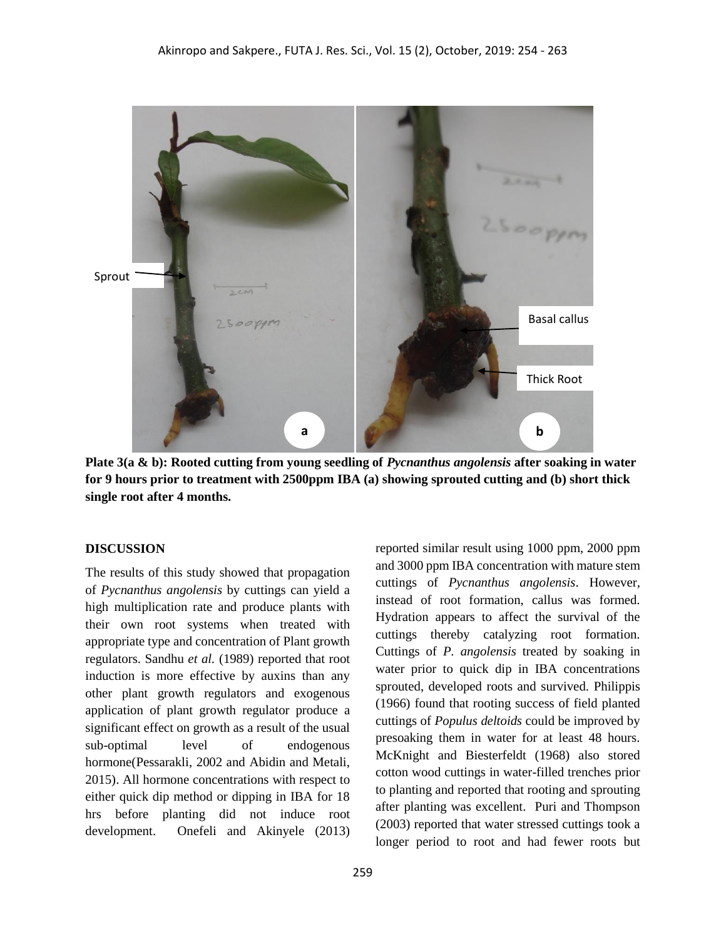

**Plate 3(a & b): Rooted cutting from young seedling of** *Pycnanthus angolensis* **after soaking in water for 9 hours prior to treatment with 2500ppm IBA (a) showing sprouted cutting and (b) short thick single root after 4 months.**

#### **DISCUSSION**

The results of this study showed that propagation of *Pycnanthus angolensis* by cuttings can yield a high multiplication rate and produce plants with their own root systems when treated with appropriate type and concentration of Plant growth regulators. Sandhu *et al.* (1989) reported that root induction is more effective by auxins than any other plant growth regulators and exogenous application of plant growth regulator produce a significant effect on growth as a result of the usual sub-optimal level of endogenous hormone(Pessarakli, 2002 and Abidin and Metali, 2015). All hormone concentrations with respect to either quick dip method or dipping in IBA for 18 hrs before planting did not induce root development. Onefeli and Akinyele (2013) reported similar result using 1000 ppm, 2000 ppm and 3000 ppm IBA concentration with mature stem cuttings of *Pycnanthus angolensis*. However, instead of root formation, callus was formed. Hydration appears to affect the survival of the cuttings thereby catalyzing root formation. Cuttings of *P. angolensis* treated by soaking in water prior to quick dip in IBA concentrations sprouted, developed roots and survived. Philippis (1966) found that rooting success of field planted cuttings of *Populus deltoids* could be improved by presoaking them in water for at least 48 hours. McKnight and Biesterfeldt (1968) also stored cotton wood cuttings in water-filled trenches prior to planting and reported that rooting and sprouting after planting was excellent. Puri and Thompson (2003) reported that water stressed cuttings took a longer period to root and had fewer roots but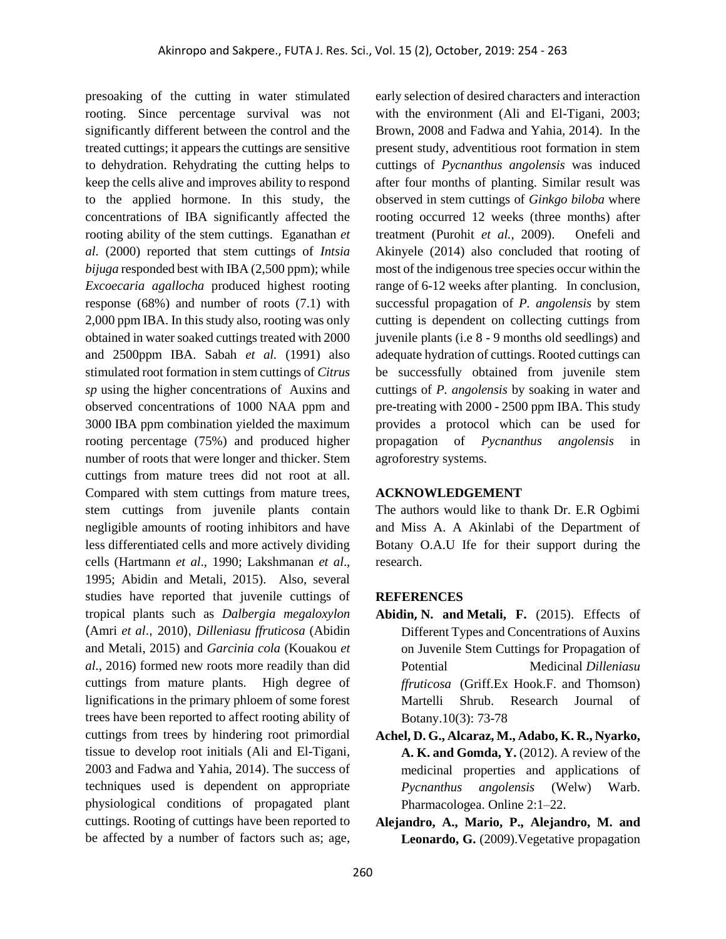presoaking of the cutting in water stimulated rooting. Since percentage survival was not significantly different between the control and the treated cuttings; it appears the cuttings are sensitive to dehydration. Rehydrating the cutting helps to keep the cells alive and improves ability to respond to the applied hormone. In this study, the concentrations of IBA significantly affected the rooting ability of the stem cuttings. Eganathan *et al.* (2000) reported that stem cuttings of *Intsia bijuga* responded best with IBA (2,500 ppm); while *Excoecaria agallocha* produced highest rooting response (68%) and number of roots (7.1) with 2,000 ppm IBA. In this study also, rooting was only obtained in water soaked cuttings treated with 2000 and 2500ppm IBA. Sabah *et al.* (1991) also stimulated root formation in stem cuttings of *Citrus sp* using the higher concentrations of Auxins and observed concentrations of 1000 NAA ppm and 3000 IBA ppm combination yielded the maximum rooting percentage (75%) and produced higher number of roots that were longer and thicker. Stem cuttings from mature trees did not root at all. Compared with stem cuttings from mature trees, stem cuttings from juvenile plants contain negligible amounts of rooting inhibitors and have less differentiated cells and more actively dividing cells (Hartmann *et al*., 1990; Lakshmanan *et al*., 1995; Abidin and Metali, 2015). Also, several studies have reported that juvenile cuttings of tropical plants such as *Dalbergia megaloxylon* (Amri *et al*., 2010), *Dilleniasu ffruticosa* (Abidin and Metali, 2015) and *Garcinia cola* (Kouakou *et al.,* 2016) formed new roots more readily than did cuttings from mature plants. High degree of lignifications in the primary phloem of some forest trees have been reported to affect rooting ability of cuttings from trees by hindering root primordial tissue to develop root initials (Ali and El-Tigani, 2003 and Fadwa and Yahia, 2014). The success of techniques used is dependent on appropriate physiological conditions of propagated plant cuttings. Rooting of cuttings have been reported to be affected by a number of factors such as; age, early selection of desired characters and interaction with the environment (Ali and El-Tigani, 2003; Brown, 2008 and Fadwa and Yahia, 2014). In the present study, adventitious root formation in stem cuttings of *Pycnanthus angolensis* was induced after four months of planting. Similar result was observed in stem cuttings of *Ginkgo biloba* where rooting occurred 12 weeks (three months) after treatment (Purohit *et al.,* 2009). Onefeli and Akinyele (2014) also concluded that rooting of most of the indigenous tree species occur within the range of 6-12 weeks after planting. In conclusion, successful propagation of *P. angolensis* by stem cutting is dependent on collecting cuttings from juvenile plants (i.e 8 - 9 months old seedlings) and adequate hydration of cuttings. Rooted cuttings can be successfully obtained from juvenile stem cuttings of *P. angolensis* by soaking in water and pre-treating with 2000 - 2500 ppm IBA. This study provides a protocol which can be used for propagation of *Pycnanthus angolensis* in agroforestry systems.

#### **ACKNOWLEDGEMENT**

The authors would like to thank Dr. E.R Ogbimi and Miss A. A Akinlabi of the Department of Botany O.A.U Ife for their support during the research.

#### **REFERENCES**

- **[Abidin](about:blank), N. and Metali, F.** (2015). Effects of Different Types and Concentrations of Auxins on Juvenile Stem Cuttings for Propagation of Potential Medicinal *Dilleniasu ffruticosa* (Griff.Ex Hook.F. and Thomson) Martelli Shrub. [Research Journal of](about:blank)  [Botany.](about:blank)10(3): 73-78
- **Achel, D. G., Alcaraz, M., Adabo, K. R., Nyarko, A. K. and Gomda, Y.** (2012). A review of the medicinal properties and applications of *Pycnanthus angolensis* (Welw) Warb. Pharmacologea. Online 2:1–22.
- **Alejandro, A., Mario, P., Alejandro, M. and Leonardo, G.** (2009).Vegetative propagation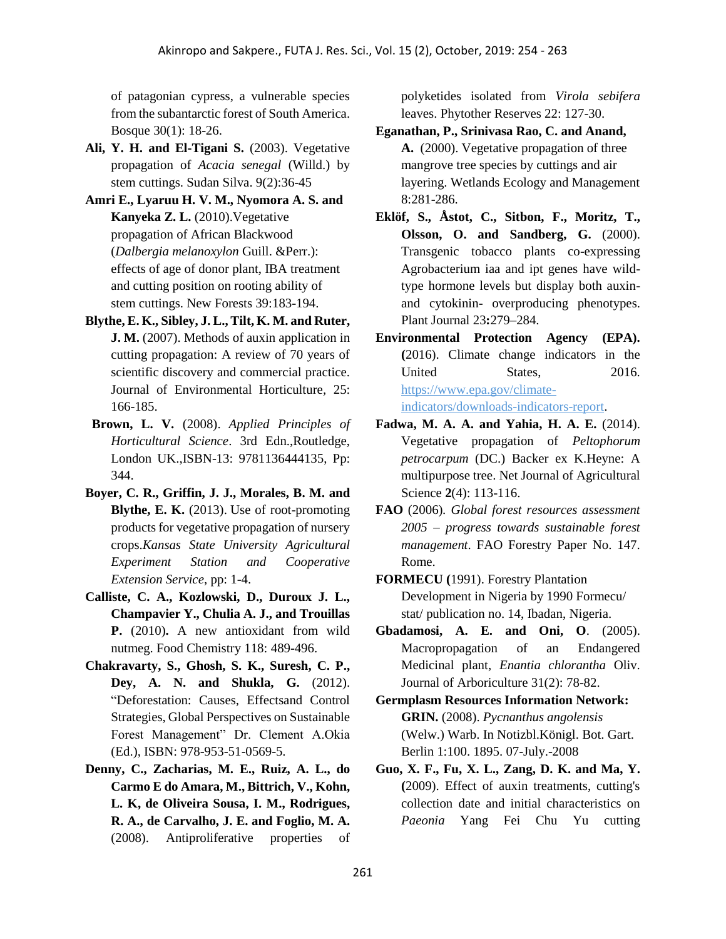of patagonian cypress, a vulnerable species from the subantarctic forest of South America. Bosque 30(1): 18-26.

- **Ali, Y. H. and El-Tigani S.** (2003). Vegetative propagation of *Acacia senegal* (Willd.) by stem cuttings. Sudan Silva. 9(2):36-45
- **Amri E., Lyaruu H. V. M., Nyomora A. S. and Kanyeka Z. L.** (2010).Vegetative propagation of African Blackwood (*Dalbergia melanoxylon* Guill. &Perr.): effects of age of donor plant, IBA treatment and cutting position on rooting ability of stem cuttings. New Forests 39:183-194.
- **Blythe, E. K., Sibley, J. L., Tilt, K. M. and Ruter, J. M.** (2007). Methods of auxin application in cutting propagation: A review of 70 years of scientific discovery and commercial practice. Journal of Environmental Horticulture*,* 25: 166-185.
- **Brown, L. V.** (2008). *Applied Principles of Horticultural Science*. 3rd Edn.,Routledge, London UK.,ISBN-13: 9781136444135, Pp: 344.
- **Boyer, C. R., Griffin, J. J., Morales, B. M. and Blythe, E. K.** (2013). Use of root-promoting products for vegetative propagation of nursery crops.*Kansas State University Agricultural Experiment Station and Cooperative Extension Service*, pp: 1-4.
- **Calliste, C. A., Kozlowski, D., Duroux J. L., Champavier Y., Chulia A. J., and Trouillas P.** (2010)**.** A new antioxidant from wild nutmeg. Food Chemistry 118: 489-496.
- **Chakravarty, S., Ghosh, S. K., Suresh, C. P., Dey, A. N. and Shukla, G.** (2012). "Deforestation: Causes, Effectsand Control Strategies, Global Perspectives on Sustainable Forest Management" Dr. Clement A.Okia (Ed.), ISBN: 978-953-51-0569-5.
- **Denny, C., Zacharias, M. E., Ruiz, A. L., do Carmo E do Amara, M., Bittrich, V., Kohn, L. K, de Oliveira Sousa, I. M., Rodrigues, R. A., de Carvalho, J. E. and Foglio, M. A.** (2008). Antiproliferative properties of

polyketides isolated from *Virola sebifera* leaves. Phytother Reserves 22: 127-30.

- **Eganathan, P., Srinivasa Rao, C. and Anand, A.** (2000). Vegetative propagation of three mangrove tree species by cuttings and air layering. Wetlands Ecology and Management 8:281-286.
- **Eklöf, S., Åstot, C., Sitbon, F., Moritz, T., Olsson, O. and Sandberg, G.** (2000). Transgenic tobacco plants co-expressing Agrobacterium iaa and ipt genes have wildtype hormone levels but display both auxinand cytokinin- overproducing phenotypes. Plant Journal 23**:**279–284.
- **Environmental Protection Agency (EPA). (**2016). Climate change indicators in the United States, 2016. [https://www.epa.gov/climate](about:blank)[indicators/downloads-indicators-report.](about:blank)
- **Fadwa, M. A. A. and Yahia, H. A. E.** (2014). Vegetative propagation of *Peltophorum petrocarpum* (DC.) Backer ex K.Heyne: A multipurpose tree. Net Journal of Agricultural Science **2**(4): 113-116.
- **FAO** (2006)*. Global forest resources assessment 2005 – progress towards sustainable forest management*. FAO Forestry Paper No. 147. Rome.
- **FORMECU (**1991). Forestry Plantation Development in Nigeria by 1990 Formecu/ stat/ publication no. 14, Ibadan, Nigeria.
- **Gbadamosi, A. E. and Oni, O**. (2005). Macropropagation of an Endangered Medicinal plant, *Enantia chlorantha* Oliv. Journal of Arboriculture 31(2): 78-82.
- **Germplasm Resources Information Network: GRIN.** (2008). *Pycnanthus angolensis* (Welw.) Warb. In Notizbl.Königl. Bot. Gart. Berlin 1:100. 1895. 07-July.-2008
- **Guo, X. F., Fu, X. L., Zang, D. K. and Ma, Y. (**2009). Effect of auxin treatments, cutting's collection date and initial characteristics on *Paeonia* Yang Fei Chu Yu cutting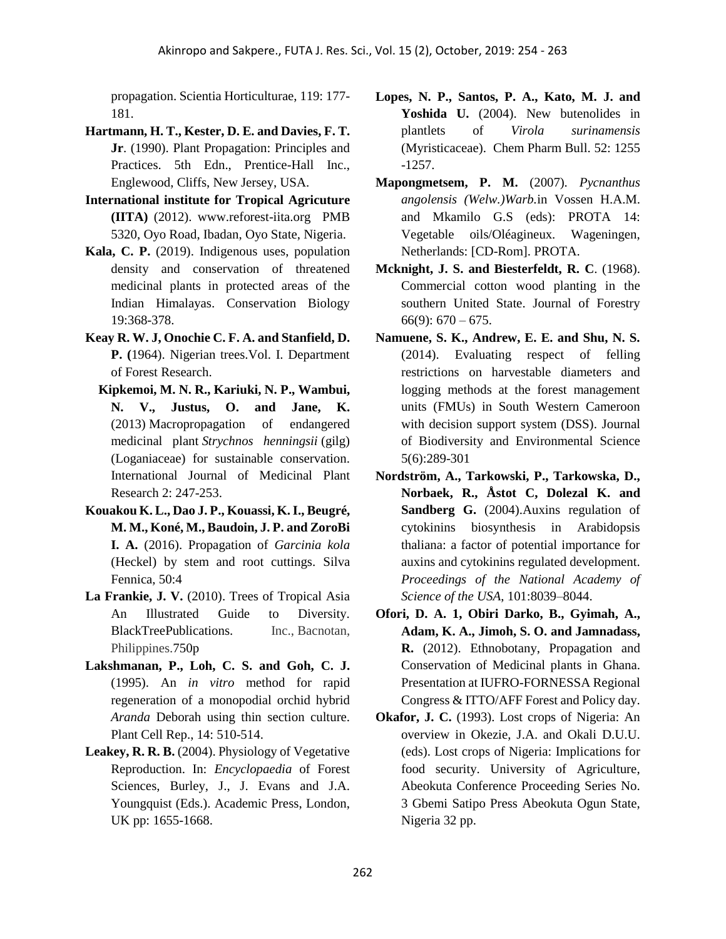propagation. Scientia Horticulturae, 119: 177- 181.

- **Hartmann, H. T., Kester, D. E. and Davies, F. T. Jr**. (1990). Plant Propagation: Principles and Practices. 5th Edn., Prentice-Hall Inc., Englewood, Cliffs, New Jersey, USA.
- **International institute for Tropical Agricuture (IITA)** (2012). www.reforest-iita.org PMB 5320, Oyo Road, Ibadan, Oyo State, Nigeria.
- **Kala, C. P.** (2019). Indigenous uses, population density and conservation of threatened medicinal plants in protected areas of the Indian Himalayas. Conservation Biology 19:368-378.
- **Keay R. W. J, Onochie C. F. A. and Stanfield, D. P. (**1964). Nigerian trees.Vol. I. Department of Forest Research.
	- **Kipkemoi, M. N. R., Kariuki, N. P., Wambui, N. V., Justus, O. and Jane, K.** (2013) Macropropagation of endangered medicinal plant *Strychnos henningsii* (gilg) (Loganiaceae) for sustainable conservation. International Journal of Medicinal Plant Research 2: 247-253.
- **[Kouakou K. L., Dao J. P., Kouassi, K. I., Beugré,](about:blank)  [M. M., Koné, M., Baudoin, J. P.](about:blank) an[d ZoroBi](about:blank)  [I. A.](about:blank)** (2016). Propagation of *Garcinia kola* (Heckel) by stem and root cuttings. [Silva](about:blank)  [Fennica, 50:](about:blank)4
- **La Frankie, J. V.** (2010). Trees of Tropical Asia An Illustrated Guide to Diversity. BlackTreePublications. Inc., Bacnotan, Philippines.750p
- **Lakshmanan, P., Loh, C. S. and Goh, C. J.** (1995). An *in vitro* method for rapid regeneration of a monopodial orchid hybrid *Aranda* Deborah using thin section culture. Plant Cell Rep., 14: 510-514.
- **Leakey, R. R. B.** (2004). Physiology of Vegetative Reproduction. In: *Encyclopaedia* of Forest Sciences, Burley, J., J. Evans and J.A. Youngquist (Eds.). Academic Press, London, UK pp: 1655-1668.
- **Lopes, N. P., Santos, P. A., Kato, M. J. and**  Yoshida U. (2004). New butenolides in plantlets of *Virola surinamensis*  (Myristicaceae). Chem Pharm Bull. 52: 1255 -1257.
- **Mapongmetsem, P. M.** (2007)*. Pycnanthus angolensis (Welw.)Warb.*in Vossen H.A.M. and Mkamilo G.S (eds): PROTA 14: Vegetable oils/Oléagineux. Wageningen, Netherlands: [CD-Rom]. PROTA.
- **Mcknight, J. S. and Biesterfeldt, R. C**. (1968). Commercial cotton wood planting in the southern United State. Journal of Forestry  $66(9)$ :  $670 - 675$ .
- **Namuene, S. K., Andrew, E. E. and Shu, N. S.** (2014). Evaluating respect of felling restrictions on harvestable diameters and logging methods at the forest management units (FMUs) in South Western Cameroon with decision support system (DSS). Journal of Biodiversity and Environmental Science 5(6):289-301
- **Nordström, A., Tarkowski, P., Tarkowska, D., Norbaek, R., Åstot C, Dolezal K. and Sandberg G.** (2004).Auxins regulation of cytokinins biosynthesis in Arabidopsis thaliana: a factor of potential importance for auxins and cytokinins regulated development. *Proceedings of the National Academy of Science of the USA*, 101:8039–8044.
- **Ofori, D. A. 1, Obiri Darko, B., Gyimah, A., Adam, K. A., Jimoh, S. O. and Jamnadass, R.** (2012). Ethnobotany, Propagation and Conservation of Medicinal plants in Ghana. Presentation at IUFRO-FORNESSA Regional Congress & ITTO/AFF Forest and Policy day.
- **Okafor, J. C.** (1993). Lost crops of Nigeria: An overview in Okezie, J.A. and Okali D.U.U. (eds). Lost crops of Nigeria: Implications for food security. University of Agriculture, Abeokuta Conference Proceeding Series No. 3 Gbemi Satipo Press Abeokuta Ogun State, Nigeria 32 pp.